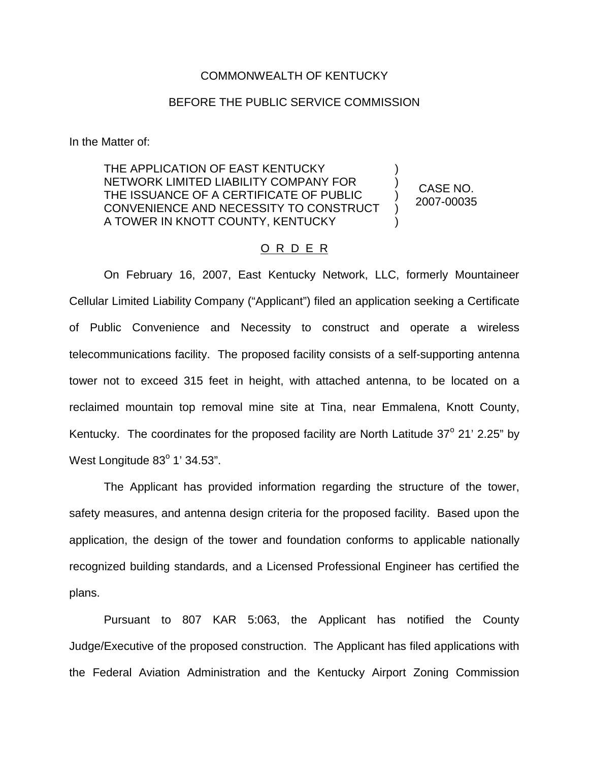## COMMONWEALTH OF KENTUCKY

## BEFORE THE PUBLIC SERVICE COMMISSION

In the Matter of:

THE APPLICATION OF EAST KENTUCKY NETWORK LIMITED LIABILITY COMPANY FOR THE ISSUANCE OF A CERTIFICATE OF PUBLIC CONVENIENCE AND NECESSITY TO CONSTRUCT A TOWER IN KNOTT COUNTY, KENTUCKY

CASE NO. 2007-00035

) ) ) ) )

## O R D E R

On February 16, 2007, East Kentucky Network, LLC, formerly Mountaineer Cellular Limited Liability Company ("Applicant") filed an application seeking a Certificate of Public Convenience and Necessity to construct and operate a wireless telecommunications facility. The proposed facility consists of a self-supporting antenna tower not to exceed 315 feet in height, with attached antenna, to be located on a reclaimed mountain top removal mine site at Tina, near Emmalena, Knott County, Kentucky. The coordinates for the proposed facility are North Latitude  $37^{\circ}$  21' 2.25" by West Longitude  $83^\circ$  1' 34.53".

The Applicant has provided information regarding the structure of the tower, safety measures, and antenna design criteria for the proposed facility. Based upon the application, the design of the tower and foundation conforms to applicable nationally recognized building standards, and a Licensed Professional Engineer has certified the plans.

Pursuant to 807 KAR 5:063, the Applicant has notified the County Judge/Executive of the proposed construction. The Applicant has filed applications with the Federal Aviation Administration and the Kentucky Airport Zoning Commission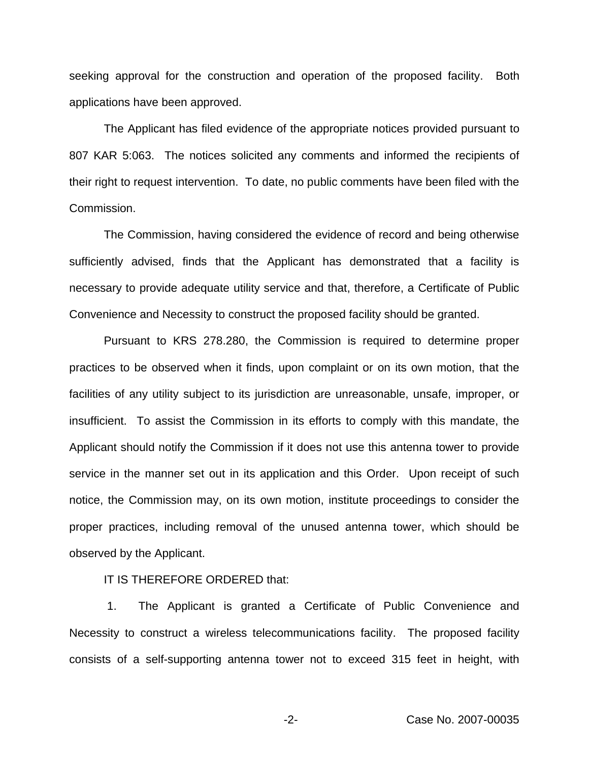seeking approval for the construction and operation of the proposed facility. Both applications have been approved.

The Applicant has filed evidence of the appropriate notices provided pursuant to 807 KAR 5:063. The notices solicited any comments and informed the recipients of their right to request intervention. To date, no public comments have been filed with the Commission.

The Commission, having considered the evidence of record and being otherwise sufficiently advised, finds that the Applicant has demonstrated that a facility is necessary to provide adequate utility service and that, therefore, a Certificate of Public Convenience and Necessity to construct the proposed facility should be granted.

Pursuant to KRS 278.280, the Commission is required to determine proper practices to be observed when it finds, upon complaint or on its own motion, that the facilities of any utility subject to its jurisdiction are unreasonable, unsafe, improper, or insufficient. To assist the Commission in its efforts to comply with this mandate, the Applicant should notify the Commission if it does not use this antenna tower to provide service in the manner set out in its application and this Order. Upon receipt of such notice, the Commission may, on its own motion, institute proceedings to consider the proper practices, including removal of the unused antenna tower, which should be observed by the Applicant.

IT IS THEREFORE ORDERED that:

1. The Applicant is granted a Certificate of Public Convenience and Necessity to construct a wireless telecommunications facility. The proposed facility consists of a self-supporting antenna tower not to exceed 315 feet in height, with